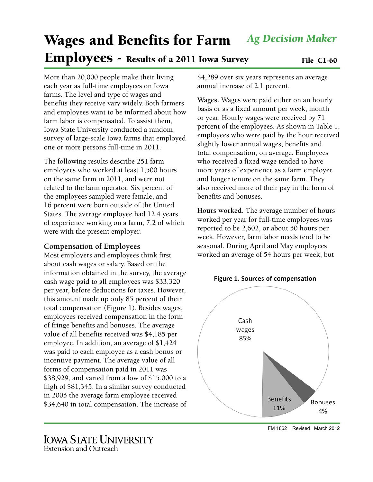# Wages and Benefits for Farm Employees - Results of a 2011 Iowa Survey File C1-60 *Ag Decision Maker*

More than 20,000 people make their living each year as full-time employees on Iowa farms. The level and type of wages and benefits they receive vary widely. Both farmers and employees want to be informed about how farm labor is compensated. To assist them, Iowa State University conducted a random survey of large-scale Iowa farms that employed one or more persons full-time in 2011.

The following results describe 251 farm employees who worked at least 1,500 hours on the same farm in 2011, and were not related to the farm operator. Six percent of the employees sampled were female, and 16 percent were born outside of the United States. The average employee had 12.4 years of experience working on a farm, 7.2 of which were with the present employer.

# **Compensation of Employees**

Most employers and employees think first about cash wages or salary. Based on the information obtained in the survey, the average cash wage paid to all employees was \$33,320 per year, before deductions for taxes. However, this amount made up only 85 percent of their total compensation (Figure 1). Besides wages, employees received compensation in the form of fringe benefits and bonuses. The average value of all benefits received was \$4,185 per employee. In addition, an average of \$1,424 was paid to each employee as a cash bonus or incentive payment. The average value of all forms of compensation paid in 2011 was \$38,929, and varied from a low of \$15,000 to a high of \$81,345. In a similar survey conducted in 2005 the average farm employee received \$34,640 in total compensation. The increase of

**Wages.** Wages were paid either on an hourly basis or as a fixed amount per week, month or year. Hourly wages were received by 71 percent of the employees. As shown in Table 1, employees who were paid by the hour received slightly lower annual wages, benefits and total compensation, on average. Employees who received a fixed wage tended to have more years of experience as a farm employee and longer tenure on the same farm. They also received more of their pay in the form of benefits and bonuses.

**Hours worked.** The average number of hours worked per year for full-time employees was reported to be 2,602, or about 50 hours per week. However, farm labor needs tend to be seasonal. During April and May employees worked an average of 54 hours per week, but



FM 1862 Revised March 2012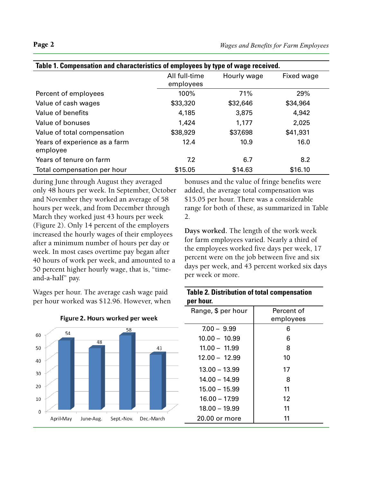| Table 1. Compensation and characteristics of employees by type of wage received. |               |             |            |  |
|----------------------------------------------------------------------------------|---------------|-------------|------------|--|
|                                                                                  | All full-time | Hourly wage | Fixed wage |  |
|                                                                                  | employees     |             |            |  |
| Percent of employees                                                             | 100%          | 71%         | 29%        |  |
| Value of cash wages                                                              | \$33,320      | \$32,646    | \$34,964   |  |
| Value of benefits                                                                | 4,185         | 3,875       | 4,942      |  |
| Value of bonuses                                                                 | 1,424         | 1,177       | 2,025      |  |
| Value of total compensation                                                      | \$38,929      | \$37,698    | \$41,931   |  |
| Years of experience as a farm<br>employee                                        | 12.4          | 10.9        | 16.0       |  |
| Years of tenure on farm                                                          | 7.2           | 6.7         | 8.2        |  |
| Total compensation per hour                                                      | \$15.05       | \$14.63     | \$16.10    |  |

during June through August they averaged only 48 hours per week. In September, October and November they worked an average of 58 hours per week, and from December through March they worked just 43 hours per week (Figure 2). Only 14 percent of the employers increased the hourly wages of their employees after a minimum number of hours per day or week. In most cases overtime pay began after 40 hours of work per week, and amounted to a 50 percent higher hourly wage, that is, "timeand-a-half" pay.

Wages per hour. The average cash wage paid per hour worked was \$12.96. However, when



### Figure 2. Hours worked per week

bonuses and the value of fringe benefits were added, the average total compensation was \$15.05 per hour. There was a considerable range for both of these, as summarized in Table 2.

**Days worked.** The length of the work week for farm employees varied. Nearly a third of the employees worked five days per week, 17 percent were on the job between five and six days per week, and 43 percent worked six days per week or more.

|           |  | <b>Table 2. Distribution of total compensation</b> |
|-----------|--|----------------------------------------------------|
| per hour. |  |                                                    |

| Range, \$ per hour | Percent of |
|--------------------|------------|
|                    | employees  |
| $7.00 - 9.99$      | 6          |
| $10.00 - 10.99$    | 6          |
| $11.00 - 11.99$    | 8          |
| $12.00 - 12.99$    | 10         |
| $13.00 - 13.99$    | 17         |
| $14.00 - 14.99$    | 8          |
| $15.00 - 15.99$    | 11         |
| $16.00 - 17.99$    | 12         |
| $18.00 - 19.99$    | 11         |
| 20.00 or more      | 11         |
|                    |            |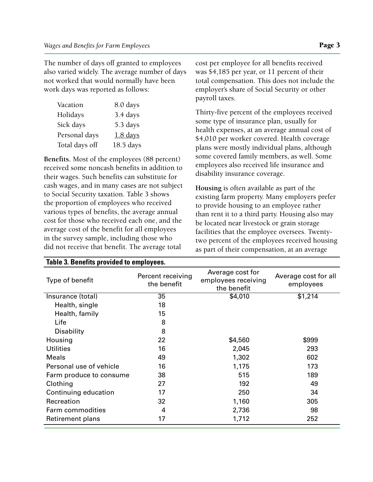The number of days off granted to employees also varied widely. The average number of days not worked that would normally have been work days was reported as follows:

| 8.0 days  |
|-----------|
| 3.4 days  |
| 5.3 days  |
| 1.8 days  |
| 18.5 days |
|           |

**Benefits.** Most of the employees (88 percent) received some noncash benefits in addition to their wages. Such benefits can substitute for cash wages, and in many cases are not subject to Social Security taxation. Table 3 shows the proportion of employees who received various types of benefits, the average annual cost for those who received each one, and the average cost of the benefit for all employees in the survey sample, including those who did not receive that benefit. The average total

**Table 3. Benefits provided to employees.**

cost per employee for all benefits received was \$4,185 per year, or 11 percent of their total compensation. This does not include the employer's share of Social Security or other payroll taxes.

Thirty-five percent of the employees received some type of insurance plan, usually for health expenses, at an average annual cost of \$4,010 per worker covered. Health coverage plans were mostly individual plans, although some covered family members, as well. Some employees also received life insurance and disability insurance coverage.

**Housing** is often available as part of the existing farm property. Many employers prefer to provide housing to an employee rather than rent it to a third party. Housing also may be located near livestock or grain storage facilities that the employee oversees. Twentytwo percent of the employees received housing as part of their compensation, at an average

| Type of benefit         | Percent receiving<br>the benefit | Average cost for<br>employees receiving<br>the benefit | Average cost for all<br>employees |
|-------------------------|----------------------------------|--------------------------------------------------------|-----------------------------------|
| Insurance (total)       | 35                               | \$4,010                                                | \$1,214                           |
| Health, single          | 18                               |                                                        |                                   |
| Health, family          | 15                               |                                                        |                                   |
| Life                    | 8                                |                                                        |                                   |
| Disability              | 8                                |                                                        |                                   |
| Housing                 | 22                               | \$4,560                                                | \$999                             |
| <b>Utilities</b>        | 16                               | 2,045                                                  | 293                               |
| <b>Meals</b>            | 49                               | 1,302                                                  | 602                               |
| Personal use of vehicle | 16                               | 1,175                                                  | 173                               |
| Farm produce to consume | 38                               | 515                                                    | 189                               |
| Clothing                | 27                               | 192                                                    | 49                                |
| Continuing education    | 17                               | 250                                                    | 34                                |
| Recreation              | 32                               | 1,160                                                  | 305                               |
| Farm commodities        | 4                                | 2,736                                                  | 98                                |
| Retirement plans        | 17                               | 1,712                                                  | 252                               |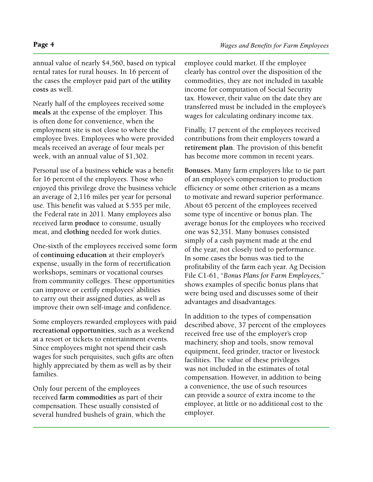annual value of nearly \$4,560, based on typical rental rates for rural houses. In 16 percent of the cases the employer paid part of the **utility costs** as well.

Nearly half of the employees received some **meals** at the expense of the employer. This is often done for convenience, when the employment site is not close to where the employee lives. Employees who were provided meals received an average of four meals per week, with an annual value of \$1,302.

Personal use of a business **vehicle** was a benefit for 16 percent of the employees. Those who enjoyed this privilege drove the business vehicle an average of 2,116 miles per year for personal use. This benefit was valued at \$.555 per mile, the Federal rate in 2011. Many employees also received farm **produce** to consume, usually meat, and **clothing** needed for work duties.

One-sixth of the employees received some form of **continuing education** at their employer's expense, usually in the form of recertification workshops, seminars or vocational courses from community colleges. These opportunities can improve or certify employees' abilities to carry out their assigned duties, as well as improve their own self-image and confidence.

Some employers rewarded employees with paid **recreational opportunities**, such as a weekend at a resort or tickets to entertainment events. Since employees might not spend their cash wages for such perquisites, such gifts are often highly appreciated by them as well as by their families.

Only four percent of the employees received **farm commodities** as part of their compensation. These usually consisted of several hundred bushels of grain, which the employee could market. If the employee clearly has control over the disposition of the commodities, they are not included in taxable income for computation of Social Security tax. However, their value on the date they are transferred must be included in the employee's wages for calculating ordinary income tax.

Finally, 17 percent of the employees received contributions from their employers toward a **retirement plan**. The provision of this benefit has become more common in recent years.

**Bonuses.** Many farm employers like to tie part of an employee's compensation to production efficiency or some other criterion as a means to motivate and reward superior performance. About 65 percent of the employees received some type of incentive or bonus plan. The average bonus for the employees who received one was \$2,351. Many bonuses consisted simply of a cash payment made at the end of the year, not closely tied to performance. In some cases the bonus was tied to the profitability of the farm each year. Ag Decision File C1-61, "*Bonus Plans for Farm Employees,*" shows examples of specific bonus plans that were being used and discusses some of their advantages and disadvantages.

In addition to the types of compensation described above, 37 percent of the employees received free use of the employer's crop machinery, shop and tools, snow removal equipment, feed grinder, tractor or livestock facilities. The value of these privileges was not included in the estimates of total compensation. However, in addition to being a convenience, the use of such resources can provide a source of extra income to the employee, at little or no additional cost to the employer.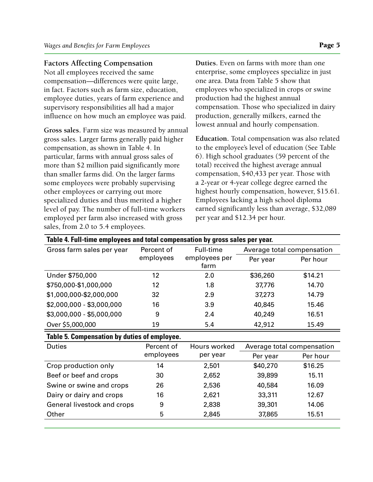# **Factors Affecting Compensation**

Not all employees received the same compensation—differences were quite large, in fact. Factors such as farm size, education, employee duties, years of farm experience and supervisory responsibilities all had a major influence on how much an employee was paid.

**Gross sales.** Farm size was measured by annual gross sales. Larger farms generally paid higher compensation, as shown in Table 4. In particular, farms with annual gross sales of more than \$2 million paid significantly more than smaller farms did. On the larger farms some employees were probably supervising other employees or carrying out more specialized duties and thus merited a higher level of pay. The number of full-time workers employed per farm also increased with gross sales, from 2.0 to 5.4 employees.

**Duties.** Even on farms with more than one enterprise, some employees specialize in just one area. Data from Table 5 show that employees who specialized in crops or swine production had the highest annual compensation. Those who specialized in dairy production, generally milkers, earned the lowest annual and hourly compensation.

**Education.** Total compensation was also related to the employee's level of education (See Table 6). High school graduates (59 percent of the total) received the highest average annual compensation, \$40,433 per year. Those with a 2-year or 4-year college degree earned the highest hourly compensation, however, \$15.61. Employees lacking a high school diploma earned significantly less than average, \$32,089 per year and \$12.34 per hour.

| Table 4. Full-time employees and total compensation by gross sales per year. |            |                       |                            |                            |  |
|------------------------------------------------------------------------------|------------|-----------------------|----------------------------|----------------------------|--|
| Gross farm sales per year                                                    | Percent of | Full-time             | Average total compensation |                            |  |
|                                                                              | employees  | employees per<br>farm | Per year                   | Per hour                   |  |
| Under \$750,000                                                              | 12         | 2.0                   | \$36,260                   | \$14.21                    |  |
| \$750,000-\$1,000,000                                                        | 12         | 1.8                   | 37,776                     | 14.70                      |  |
| \$1,000,000-\$2,000,000                                                      | 32         | 2.9                   | 37,273                     | 14.79                      |  |
| $$2,000,000 - $3,000,000$                                                    | 16         | 3.9                   | 40,845                     | 15.46                      |  |
| \$3,000,000 - \$5,000,000                                                    | 9          | 2.4                   | 40,249                     | 16.51                      |  |
| Over \$5,000,000                                                             | 19         | 5.4                   | 42,912                     | 15.49                      |  |
| Table 5. Compensation by duties of employee.                                 |            |                       |                            |                            |  |
| <b>Duties</b>                                                                | Percent of | Hours worked          |                            | Average total compensation |  |
|                                                                              | employees  | per year              | Per year                   | Per hour                   |  |
| Crop production only                                                         | 14         | 2,501                 | \$40,270                   | \$16.25                    |  |
| Beef or beef and crops                                                       | 30         | 2,652                 | 39,899                     | 15.11                      |  |
| Swine or swine and crops                                                     | 26         | 2,536                 | 40,584                     | 16.09                      |  |

Dairy or dairy and crops 16 2,621 33,311 12.67 General livestock and crops  $\begin{array}{ccc} 9 & 2,838 & 39,301 & 14.06 \end{array}$ Other 5 2,845 37,865 15.51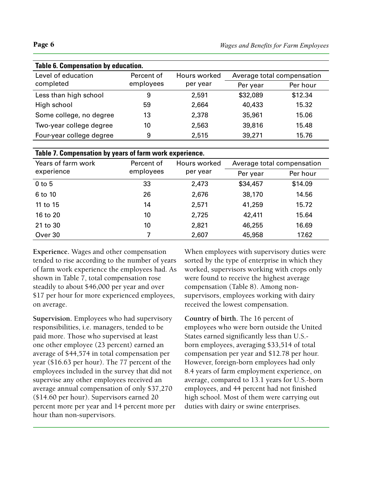| Table 6. Compensation by education. |            |              |          |                            |
|-------------------------------------|------------|--------------|----------|----------------------------|
| Level of education                  | Percent of | Hours worked |          | Average total compensation |
| completed                           | employees  | per year     | Per year | Per hour                   |
| Less than high school               | 9          | 2,591        | \$32,089 | \$12.34                    |
| High school                         | 59         | 2,664        | 40,433   | 15.32                      |
| Some college, no degree             | 13         | 2,378        | 35,961   | 15.06                      |
| Two-year college degree             | 10         | 2,563        | 39,816   | 15.48                      |
| Four-year college degree            | 9          | 2,515        | 39,271   | 15.76                      |

| Table 7. Compensation by years of farm work experience. |            |                          |                            |          |
|---------------------------------------------------------|------------|--------------------------|----------------------------|----------|
| Years of farm work                                      | Percent of | Hours worked<br>per year | Average total compensation |          |
| experience                                              | employees  |                          | Per year                   | Per hour |
| $0$ to $5$                                              | 33         | 2,473                    | \$34,457                   | \$14.09  |
| 6 to 10                                                 | 26         | 2,676                    | 38,170                     | 14.56    |
| 11 to 15                                                | 14         | 2,571                    | 41,259                     | 15.72    |
| 16 to 20                                                | 10         | 2,725                    | 42,411                     | 15.64    |
| 21 to 30                                                | 10         | 2,821                    | 46,255                     | 16.69    |
| Over 30                                                 |            | 2,607                    | 45,958                     | 17.62    |

**Experience.** Wages and other compensation tended to rise according to the number of years of farm work experience the employees had. As shown in Table 7, total compensation rose steadily to about \$46,000 per year and over \$17 per hour for more experienced employees, on average.

**Supervision.** Employees who had supervisory responsibilities, i.e. managers, tended to be paid more. Those who supervised at least one other employee (23 percent) earned an average of \$44,574 in total compensation per year (\$16.63 per hour). The 77 percent of the employees included in the survey that did not supervise any other employees received an average annual compensation of only \$37,270 (\$14.60 per hour). Supervisors earned 20 percent more per year and 14 percent more per hour than non-supervisors.

When employees with supervisory duties were sorted by the type of enterprise in which they worked, supervisors working with crops only were found to receive the highest average compensation (Table 8). Among nonsupervisors, employees working with dairy received the lowest compensation.

**Country of birth.** The 16 percent of employees who were born outside the United States earned significantly less than U.S. born employees, averaging \$33,514 of total compensation per year and \$12.78 per hour. However, foreign-born employees had only 8.4 years of farm employment experience, on average, compared to 13.1 years for U.S.-born employees, and 44 percent had not finished high school. Most of them were carrying out duties with dairy or swine enterprises.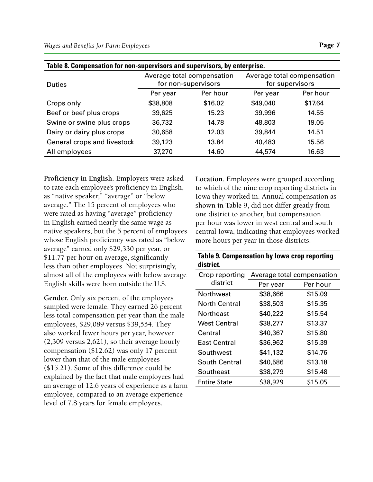| Table 8. Compensation for non-supervisors and supervisors, by enterprise. |                                                   |          |                                               |          |
|---------------------------------------------------------------------------|---------------------------------------------------|----------|-----------------------------------------------|----------|
| <b>Duties</b>                                                             | Average total compensation<br>for non-supervisors |          | Average total compensation<br>for supervisors |          |
|                                                                           | Per year                                          | Per hour | Per year                                      | Per hour |
| Crops only                                                                | \$38,808                                          | \$16.02  | \$49,040                                      | \$17.64  |
| Beef or beef plus crops                                                   | 39,625                                            | 15.23    | 39,996                                        | 14.55    |
| Swine or swine plus crops                                                 | 36,732                                            | 14.78    | 48,803                                        | 19.05    |
| Dairy or dairy plus crops                                                 | 30,658                                            | 12.03    | 39,844                                        | 14.51    |
| General crops and livestock                                               | 39,123                                            | 13.84    | 40,483                                        | 15.56    |
| All employees                                                             | 37,270                                            | 14.60    | 44,574                                        | 16.63    |

**Proficiency in English.** Employers were asked to rate each employee's proficiency in English, as "native speaker," "average" or "below average." The 15 percent of employees who were rated as having "average" proficiency in English earned nearly the same wage as native speakers, but the 5 percent of employees whose English proficiency was rated as "below average" earned only \$29,330 per year, or \$11.77 per hour on average, significantly less than other employees. Not surprisingly, almost all of the employees with below average English skills were born outside the U.S.

**Gender.** Only six percent of the employees sampled were female. They earned 26 percent less total compensation per year than the male employees, \$29,089 versus \$39,554. They also worked fewer hours per year, however (2,309 versus 2,621), so their average hourly compensation (\$12.62) was only 17 percent lower than that of the male employees (\$15.21). Some of this difference could be explained by the fact that male employees had an average of 12.6 years of experience as a farm employee, compared to an average experience level of 7.8 years for female employees.

**Location.** Employees were grouped according to which of the nine crop reporting districts in Iowa they worked in. Annual compensation as shown in Table 9, did not differ greatly from one district to another, but compensation per hour was lower in west central and south central Iowa, indicating that employees worked more hours per year in those districts.

## **Table 9. Compensation by Iowa crop reporting district.**

| Crop reporting       | Average total compensation |          |  |  |
|----------------------|----------------------------|----------|--|--|
| district             | Per year                   | Per hour |  |  |
| Northwest            | \$38,666                   | \$15.09  |  |  |
| <b>North Central</b> | \$38,503                   | \$15.35  |  |  |
| <b>Northeast</b>     | \$40,222                   | \$15.54  |  |  |
| West Central         | \$38,277                   | \$13.37  |  |  |
| Central              | \$40,367                   | \$15.80  |  |  |
| East Central         | \$36,962                   | \$15.39  |  |  |
| Southwest            | \$41,132                   | \$14.76  |  |  |
| <b>South Central</b> | \$40,586                   | \$13.18  |  |  |
| Southeast            | \$38,279                   | \$15.48  |  |  |
| <b>Entire State</b>  | \$38,929                   | \$15.05  |  |  |